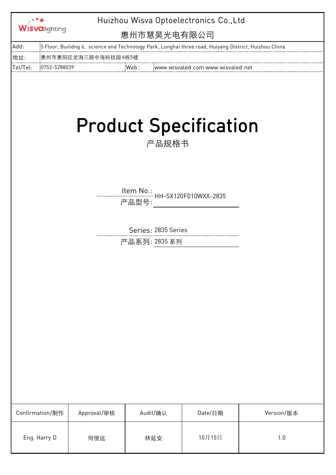|          | <b>Wisvalighting</b> | Huizhou Wisva Optoelectronics Co., Ltd<br>惠州市慧昊光电有限公司 |                     |       |                                                                                                                |            |  |
|----------|----------------------|-------------------------------------------------------|---------------------|-------|----------------------------------------------------------------------------------------------------------------|------------|--|
| Add:     |                      |                                                       |                     |       | 5 Floor, Builidng 6,  science and Technology Park, Longhai three road, Huiyang District, Huizhou China ( The M |            |  |
| 地址:      |                      | 惠州市惠阳区龙海三路中海科技园 6栋5楼                                  |                     |       |                                                                                                                |            |  |
| Tel/Tel: | 0752-5288039         |                                                       | Web:                |       | www.wisvaled.com www.wisvaled.net                                                                              |            |  |
|          |                      |                                                       |                     | 产品规格书 | <b>Product Specification</b>                                                                                   |            |  |
|          |                      |                                                       | 产品型号:               |       |                                                                                                                |            |  |
|          |                      |                                                       | Series: 2835 Series |       |                                                                                                                |            |  |
|          |                      |                                                       | 产品系列: 2835 系列       |       |                                                                                                                |            |  |
|          |                      |                                                       |                     |       |                                                                                                                |            |  |
|          | Confirmation/制作      | Approval/审核                                           | Audit/确认            |       | Date/日期                                                                                                        | Version/版本 |  |
|          | Eng. Harry D         | 何俊远                                                   | 林延安                 |       | 10月15日                                                                                                         | 1.0        |  |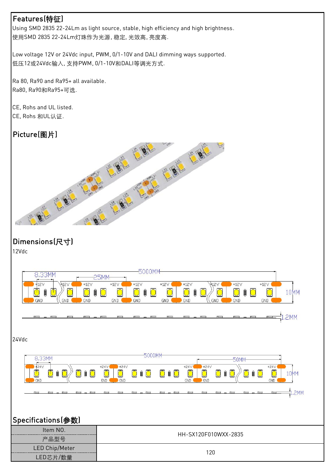### Features(特征)

Using SMD 2835 22-24Lm as light source, stable, high efficiency and high brightness. 使用SMD 2835 22-24Lm灯珠作为光源, 稳定, 光效高, 亮度高.

Low voltage 12V or 24Vdc input, PWM, 0/1-10V and DALI dimming ways supported. 低压12或24Vdc输入, 支持PWM, 0/1-10V和DALI等调光方式.

Ra 80, Ra90 and Ra95+ all available. Ra80, Ra90和Ra95+可选.

CE, Rohs 和UL认证.

### Picture(图片)



## Dimensions(尺寸)

12Vdc

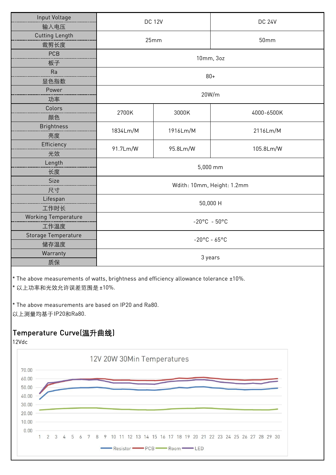| <b>Input Voltage</b>       | <b>DC 12V</b>              |          | <b>DC 24V</b> |  |  |  |  |
|----------------------------|----------------------------|----------|---------------|--|--|--|--|
| 输入电压                       |                            |          |               |  |  |  |  |
| <b>Cutting Length</b>      | 25mm                       |          | 50mm          |  |  |  |  |
| 裁剪长度                       |                            |          |               |  |  |  |  |
| PCB                        | 10mm, 3oz                  |          |               |  |  |  |  |
| 板子                         |                            |          |               |  |  |  |  |
| Ra                         | $80+$                      |          |               |  |  |  |  |
| 显色指数                       |                            |          |               |  |  |  |  |
| Power                      | 20W/m                      |          |               |  |  |  |  |
| 功率                         |                            |          |               |  |  |  |  |
| Colors                     | 2700K                      | 3000K    | 4000-6500K    |  |  |  |  |
| 颜色                         |                            |          |               |  |  |  |  |
| <b>Brightness</b>          | 1834Lm/M                   | 1916Lm/M | 2116Lm/M      |  |  |  |  |
| 亮度                         |                            |          |               |  |  |  |  |
| Efficiency                 | 91.7Lm/W                   | 95.8Lm/W | 105.8Lm/W     |  |  |  |  |
| 光效                         |                            |          |               |  |  |  |  |
| Length                     | 5,000 mm                   |          |               |  |  |  |  |
| 长度                         |                            |          |               |  |  |  |  |
| Size                       | Wdith: 10mm, Height: 1.2mm |          |               |  |  |  |  |
| 尺寸                         |                            |          |               |  |  |  |  |
| Lifespan                   | 50,000 H                   |          |               |  |  |  |  |
| 工作时长                       |                            |          |               |  |  |  |  |
| <b>Working Temperature</b> | $-20^{\circ}$ C - 50°C     |          |               |  |  |  |  |
| 工作温度                       |                            |          |               |  |  |  |  |
| Storage Temperature        | $-20^{\circ}$ C - 65°C     |          |               |  |  |  |  |
| 储存温度                       |                            |          |               |  |  |  |  |
| Warranty                   |                            | 3 years  |               |  |  |  |  |
| 质保                         |                            |          |               |  |  |  |  |

\* The above measurements of watts, brightness and efficiency allowance tolerance ±10%.

\* 以上功率和光效允许误差范围是 ±10%.

\* The above measurements are based on IP20 and Ra80. 以上测量均基于IP20和Ra80.

## Temperature Curve(温升曲线)

12Vdc

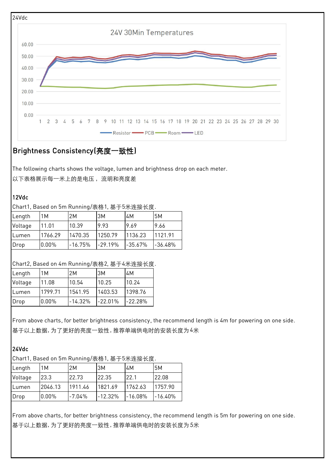

### Brightness Consistency(亮度一致性)

The following charts shows the voltage, lumen and brightness drop on each meter.

以下表格展示每一米上的是电压,流明和亮度差

#### 12Vdc

#### Chart1, Based on 5m Running/表格1, 基于5米连接长度.

| Length  | M        | 2M        | 3M        | 4M        | 5M        |
|---------|----------|-----------|-----------|-----------|-----------|
| Voltage | 11.01    | 10.39     | 9.93      | 9.69      | 19.66     |
| Lumen   | 1766.29  | 1470.35   | 1250.79   | 1136.23   | 1121.91   |
| Drop    | $0.00\%$ | $-16.75%$ | $-29.19%$ | $-35.67%$ | $-36.48%$ |

#### Chart2, Based on 4m Running/表格2, 基于4米连接长度.

| Length  | 1M       | 2M        | 3M        | 4M        |
|---------|----------|-----------|-----------|-----------|
| Voltage | 11.08    | 10.54     | 10.25     | 10.24     |
| Lumen   | 1799.71  | 1541.95   | 1403.53   | 1398.76   |
| Drop    | $0.00\%$ | $-14.32%$ | $-22.01%$ | $-22.28%$ |

From above charts, for better brightness consistency, the recommend length is 4m for powering on one side. 基于以上数据, 为了更好的亮度一致性, 推荐单端供电时的安装长度为4米

#### 24Vdc

Chart1, Based on 5m Running/表格1, 基于5米连接长度.

| Length  | 1Μ       | 2Μ       | 3M        | 4M        | 5M        |
|---------|----------|----------|-----------|-----------|-----------|
| Voltage | 23.3     | 22.73    | 22.35     | 22.1      | 22.08     |
| Lumen   | 2046.13  | 1911.46  | 1821.69   | 1762.63   | 1757.90   |
| Drop    | $0.00\%$ | $-7.04%$ | $-12.32%$ | $-16.08%$ | $-16.40%$ |

From above charts, for better brightness consistency, the recommend length is 5m for powering on one side. 基于以上数据, 为了更好的亮度一致性, 推荐单端供电时的安装长度为5米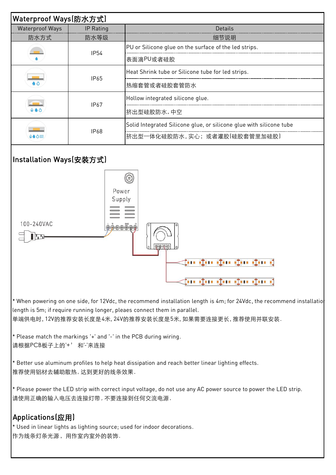| Waterproof Ways(防水方式)               |                                                  |                                                                     |  |  |  |  |  |
|-------------------------------------|--------------------------------------------------|---------------------------------------------------------------------|--|--|--|--|--|
| <b>Waterproof Ways</b><br>IP Rating |                                                  | <b>Details</b>                                                      |  |  |  |  |  |
| 防水方式                                | 防水等级                                             | 细节说明                                                                |  |  |  |  |  |
|                                     | <b>IP54</b>                                      | PU or Silicone glue on the surface of the led strips.               |  |  |  |  |  |
|                                     |                                                  | 表面滴PU或者硅胶                                                           |  |  |  |  |  |
|                                     | IP65                                             | Heat Shrink tube or Silicone tube for led strips.                   |  |  |  |  |  |
|                                     |                                                  | 热缩套管或者硅胶套管防水                                                        |  |  |  |  |  |
|                                     | <b>IP67</b>                                      | Hollow integrated silicone glue.                                    |  |  |  |  |  |
| $\circ$ $\bullet$ $\circ$           |                                                  | 挤出型硅胶防水,中空                                                          |  |  |  |  |  |
|                                     |                                                  | Solid Integrated Silicone glue, or silicone glue with silicone tube |  |  |  |  |  |
| 00033                               | <b>IP68</b>                                      | 挤出型一体化硅胶防水,实心;或者灌胶(硅胶套管里加硅胶)                                        |  |  |  |  |  |
| Installation Ways(安装方式)             |                                                  | $\circledS$                                                         |  |  |  |  |  |
| 100-240VAC<br>$\mathbf{F}$          | Power<br>Supply<br><del></del> <del>⊕∄⊕⊕®®</del> | $\boxed{\oplus \oplus \oplus \oplus}$<br>in du du du du d           |  |  |  |  |  |

\* When powering on one side, for 12Vdc, the recommend installation length is 4m; for 24Vdc, the recommend installatio length is 5m; if require running longer, pleaes connect them in parallel. 单端供电时, 12V的推荐安装长度是4米, 24V的推荐安装长度是5米, 如果需要连接更长, 推荐使用并联安装.

 $\prec$  in the the the the i

\* Please match the markings '+' and '-' in the PCB during wiring. 请根据PCB板子上的'+' 和'-'来连接

\* Better use aluminum profiles to help heat dissipation and reach better linear lighting effects. 推荐使用铝材去辅助散热, 达到更好的线条效果.

\* Please power the LED strip with correct input voltage, do not use any AC power source to power the LED strip. 请使用正确的输入电压去连接灯带 , 不要连接到任何交流电源.

# Applications(应用)

\* Used in linear lights as lighting source; used for indoor decorations. 作为线条灯条光源,用作室内室外的装饰.